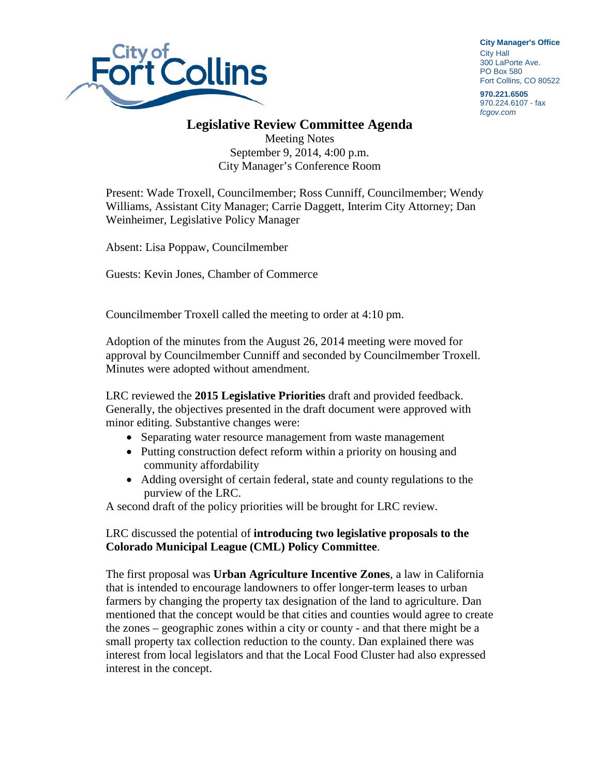

**City Manager**'**s Office** City Hall 300 LaPorte Ave. PO Box 580 Fort Collins, CO 80522

**970.221.6505** 970.224.6107 - fax *fcgov.com*

## **Legislative Review Committee Agenda**

Meeting Notes September 9, 2014, 4:00 p.m. City Manager's Conference Room

Present: Wade Troxell, Councilmember; Ross Cunniff, Councilmember; Wendy Williams, Assistant City Manager; Carrie Daggett, Interim City Attorney; Dan Weinheimer, Legislative Policy Manager

Absent: Lisa Poppaw, Councilmember

Guests: Kevin Jones, Chamber of Commerce

Councilmember Troxell called the meeting to order at 4:10 pm.

Adoption of the minutes from the August 26, 2014 meeting were moved for approval by Councilmember Cunniff and seconded by Councilmember Troxell. Minutes were adopted without amendment.

LRC reviewed the **2015 Legislative Priorities** draft and provided feedback. Generally, the objectives presented in the draft document were approved with minor editing. Substantive changes were:

- Separating water resource management from waste management
- Putting construction defect reform within a priority on housing and community affordability
- Adding oversight of certain federal, state and county regulations to the purview of the LRC.

A second draft of the policy priorities will be brought for LRC review.

## LRC discussed the potential of **introducing two legislative proposals to the Colorado Municipal League (CML) Policy Committee**.

The first proposal was **Urban Agriculture Incentive Zones**, a law in California that is intended to encourage landowners to offer longer-term leases to urban farmers by changing the property tax designation of the land to agriculture. Dan mentioned that the concept would be that cities and counties would agree to create the zones – geographic zones within a city or county - and that there might be a small property tax collection reduction to the county. Dan explained there was interest from local legislators and that the Local Food Cluster had also expressed interest in the concept.